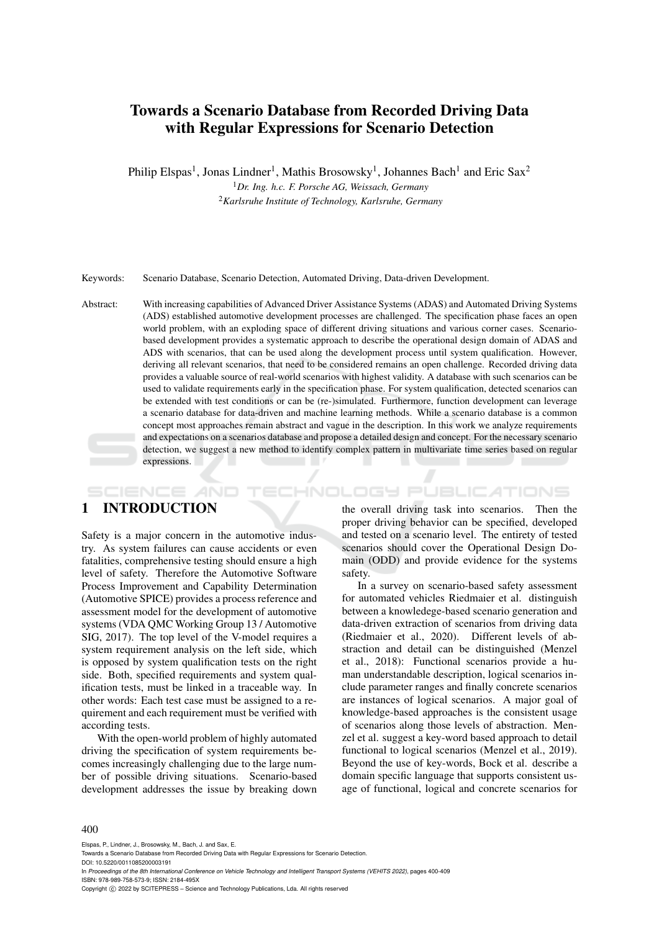# Towards a Scenario Database from Recorded Driving Data with Regular Expressions for Scenario Detection

Philip Elspas<sup>1</sup>, Jonas Lindner<sup>1</sup>, Mathis Brosowsky<sup>1</sup>, Johannes Bach<sup>1</sup> and Eric Sax<sup>2</sup>

<sup>1</sup>*Dr. Ing. h.c. F. Porsche AG, Weissach, Germany* <sup>2</sup>*Karlsruhe Institute of Technology, Karlsruhe, Germany*

Keywords: Scenario Database, Scenario Detection, Automated Driving, Data-driven Development.

Abstract: With increasing capabilities of Advanced Driver Assistance Systems (ADAS) and Automated Driving Systems (ADS) established automotive development processes are challenged. The specification phase faces an open world problem, with an exploding space of different driving situations and various corner cases. Scenariobased development provides a systematic approach to describe the operational design domain of ADAS and ADS with scenarios, that can be used along the development process until system qualification. However, deriving all relevant scenarios, that need to be considered remains an open challenge. Recorded driving data provides a valuable source of real-world scenarios with highest validity. A database with such scenarios can be used to validate requirements early in the specification phase. For system qualification, detected scenarios can be extended with test conditions or can be (re-)simulated. Furthermore, function development can leverage a scenario database for data-driven and machine learning methods. While a scenario database is a common concept most approaches remain abstract and vague in the description. In this work we analyze requirements and expectations on a scenarios database and propose a detailed design and concept. For the necessary scenario detection, we suggest a new method to identify complex pattern in multivariate time series based on regular expressions.  $\mathbf{r}$ 

### 1 INTRODUCTION

SCIENCE *A*ND

Safety is a major concern in the automotive industry. As system failures can cause accidents or even fatalities, comprehensive testing should ensure a high level of safety. Therefore the Automotive Software Process Improvement and Capability Determination (Automotive SPICE) provides a process reference and assessment model for the development of automotive systems (VDA QMC Working Group 13 / Automotive SIG, 2017). The top level of the V-model requires a system requirement analysis on the left side, which is opposed by system qualification tests on the right side. Both, specified requirements and system qualification tests, must be linked in a traceable way. In other words: Each test case must be assigned to a requirement and each requirement must be verified with according tests.

With the open-world problem of highly automated driving the specification of system requirements becomes increasingly challenging due to the large number of possible driving situations. Scenario-based development addresses the issue by breaking down

the overall driving task into scenarios. Then the proper driving behavior can be specified, developed and tested on a scenario level. The entirety of tested scenarios should cover the Operational Design Domain (ODD) and provide evidence for the systems safety.

**'ECHNOLOGY PUBLICATIONS** 

In a survey on scenario-based safety assessment for automated vehicles Riedmaier et al. distinguish between a knowledege-based scenario generation and data-driven extraction of scenarios from driving data (Riedmaier et al., 2020). Different levels of abstraction and detail can be distinguished (Menzel et al., 2018): Functional scenarios provide a human understandable description, logical scenarios include parameter ranges and finally concrete scenarios are instances of logical scenarios. A major goal of knowledge-based approaches is the consistent usage of scenarios along those levels of abstraction. Menzel et al. suggest a key-word based approach to detail functional to logical scenarios (Menzel et al., 2019). Beyond the use of key-words, Bock et al. describe a domain specific language that supports consistent usage of functional, logical and concrete scenarios for

#### 400

Elspas, P., Lindner, J., Brosowsky, M., Bach, J. and Sax, E.

In *Proceedings of the 8th International Conference on Vehicle Technology and Intelligent Transport Systems (VEHITS 2022)*, pages 400-409 ISBN: 978-989-758-573-9; ISSN: 2184-495X

Copyright (C) 2022 by SCITEPRESS - Science and Technology Publications, Lda. All rights reserved

Towards a Scenario Database from Recorded Driving Data with Regular Expressions for Scenario Detection. DOI: 10.5220/0011085200003191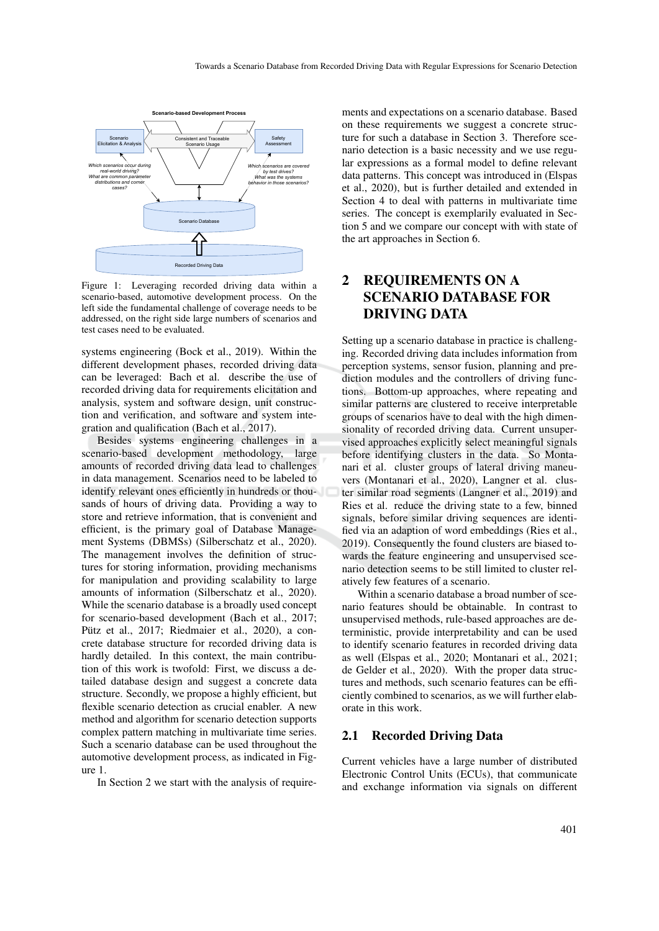

Figure 1: Leveraging recorded driving data within a scenario-based, automotive development process. On the left side the fundamental challenge of coverage needs to be addressed, on the right side large numbers of scenarios and test cases need to be evaluated.

systems engineering (Bock et al., 2019). Within the different development phases, recorded driving data can be leveraged: Bach et al. describe the use of recorded driving data for requirements elicitation and analysis, system and software design, unit construction and verification, and software and system integration and qualification (Bach et al., 2017).

Besides systems engineering challenges in a scenario-based development methodology, large amounts of recorded driving data lead to challenges in data management. Scenarios need to be labeled to identify relevant ones efficiently in hundreds or thousands of hours of driving data. Providing a way to store and retrieve information, that is convenient and efficient, is the primary goal of Database Management Systems (DBMSs) (Silberschatz et al., 2020). The management involves the definition of structures for storing information, providing mechanisms for manipulation and providing scalability to large amounts of information (Silberschatz et al., 2020). While the scenario database is a broadly used concept for scenario-based development (Bach et al., 2017; Pütz et al., 2017; Riedmaier et al., 2020), a concrete database structure for recorded driving data is hardly detailed. In this context, the main contribution of this work is twofold: First, we discuss a detailed database design and suggest a concrete data structure. Secondly, we propose a highly efficient, but flexible scenario detection as crucial enabler. A new method and algorithm for scenario detection supports complex pattern matching in multivariate time series. Such a scenario database can be used throughout the automotive development process, as indicated in Figure 1.

In Section 2 we start with the analysis of require-

ments and expectations on a scenario database. Based on these requirements we suggest a concrete structure for such a database in Section 3. Therefore scenario detection is a basic necessity and we use regular expressions as a formal model to define relevant data patterns. This concept was introduced in (Elspas et al., 2020), but is further detailed and extended in Section 4 to deal with patterns in multivariate time series. The concept is exemplarily evaluated in Section 5 and we compare our concept with with state of the art approaches in Section 6.

# 2 REQUIREMENTS ON A SCENARIO DATABASE FOR DRIVING DATA

Setting up a scenario database in practice is challenging. Recorded driving data includes information from perception systems, sensor fusion, planning and prediction modules and the controllers of driving functions. Bottom-up approaches, where repeating and similar patterns are clustered to receive interpretable groups of scenarios have to deal with the high dimensionality of recorded driving data. Current unsupervised approaches explicitly select meaningful signals before identifying clusters in the data. So Montanari et al. cluster groups of lateral driving maneuvers (Montanari et al., 2020), Langner et al. cluster similar road segments (Langner et al., 2019) and Ries et al. reduce the driving state to a few, binned signals, before similar driving sequences are identified via an adaption of word embeddings (Ries et al., 2019). Consequently the found clusters are biased towards the feature engineering and unsupervised scenario detection seems to be still limited to cluster relatively few features of a scenario.

Within a scenario database a broad number of scenario features should be obtainable. In contrast to unsupervised methods, rule-based approaches are deterministic, provide interpretability and can be used to identify scenario features in recorded driving data as well (Elspas et al., 2020; Montanari et al., 2021; de Gelder et al., 2020). With the proper data structures and methods, such scenario features can be efficiently combined to scenarios, as we will further elaborate in this work.

### 2.1 Recorded Driving Data

Current vehicles have a large number of distributed Electronic Control Units (ECUs), that communicate and exchange information via signals on different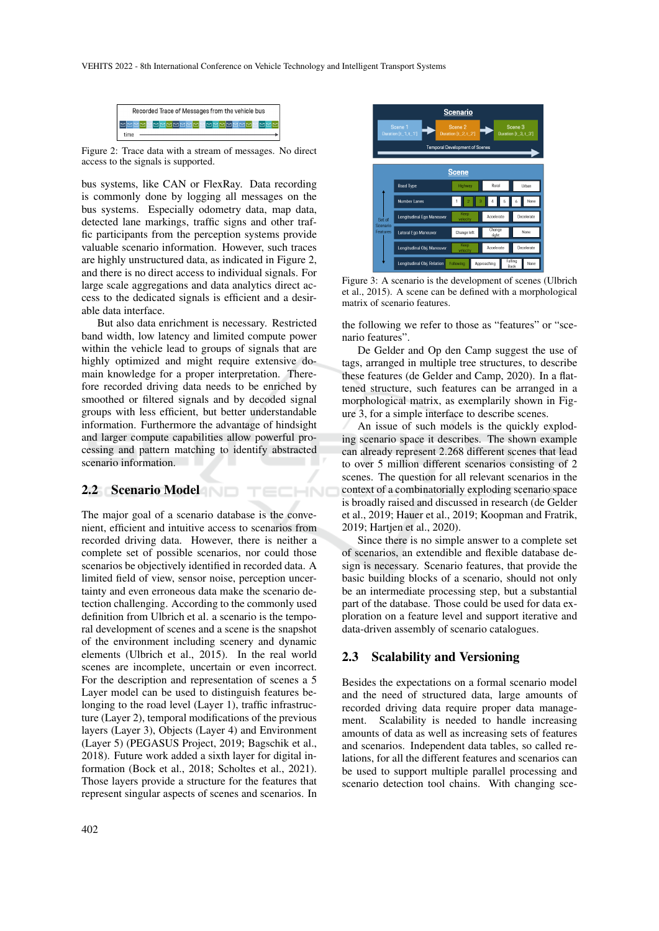

Figure 2: Trace data with a stream of messages. No direct access to the signals is supported.

bus systems, like CAN or FlexRay. Data recording is commonly done by logging all messages on the bus systems. Especially odometry data, map data, detected lane markings, traffic signs and other traffic participants from the perception systems provide valuable scenario information. However, such traces are highly unstructured data, as indicated in Figure 2, and there is no direct access to individual signals. For large scale aggregations and data analytics direct access to the dedicated signals is efficient and a desirable data interface.

But also data enrichment is necessary. Restricted band width, low latency and limited compute power within the vehicle lead to groups of signals that are highly optimized and might require extensive domain knowledge for a proper interpretation. Therefore recorded driving data needs to be enriched by smoothed or filtered signals and by decoded signal groups with less efficient, but better understandable information. Furthermore the advantage of hindsight and larger compute capabilities allow powerful processing and pattern matching to identify abstracted scenario information.

TECHNO

### 2.2 Scenario Model

The major goal of a scenario database is the convenient, efficient and intuitive access to scenarios from recorded driving data. However, there is neither a complete set of possible scenarios, nor could those scenarios be objectively identified in recorded data. A limited field of view, sensor noise, perception uncertainty and even erroneous data make the scenario detection challenging. According to the commonly used definition from Ulbrich et al. a scenario is the temporal development of scenes and a scene is the snapshot of the environment including scenery and dynamic elements (Ulbrich et al., 2015). In the real world scenes are incomplete, uncertain or even incorrect. For the description and representation of scenes a 5 Layer model can be used to distinguish features belonging to the road level (Layer 1), traffic infrastructure (Layer 2), temporal modifications of the previous layers (Layer 3), Objects (Layer 4) and Environment (Layer 5) (PEGASUS Project, 2019; Bagschik et al., 2018). Future work added a sixth layer for digital information (Bock et al., 2018; Scholtes et al., 2021). Those layers provide a structure for the features that represent singular aspects of scenes and scenarios. In



Figure 3: A scenario is the development of scenes (Ulbrich et al., 2015). A scene can be defined with a morphological matrix of scenario features.

the following we refer to those as "features" or "scenario features".

De Gelder and Op den Camp suggest the use of tags, arranged in multiple tree structures, to describe these features (de Gelder and Camp, 2020). In a flattened structure, such features can be arranged in a morphological matrix, as exemplarily shown in Figure 3, for a simple interface to describe scenes.

An issue of such models is the quickly exploding scenario space it describes. The shown example can already represent 2.268 different scenes that lead to over 5 million different scenarios consisting of 2 scenes. The question for all relevant scenarios in the context of a combinatorially exploding scenario space is broadly raised and discussed in research (de Gelder et al., 2019; Hauer et al., 2019; Koopman and Fratrik, 2019; Hartjen et al., 2020).

Since there is no simple answer to a complete set of scenarios, an extendible and flexible database design is necessary. Scenario features, that provide the basic building blocks of a scenario, should not only be an intermediate processing step, but a substantial part of the database. Those could be used for data exploration on a feature level and support iterative and data-driven assembly of scenario catalogues.

### 2.3 Scalability and Versioning

Besides the expectations on a formal scenario model and the need of structured data, large amounts of recorded driving data require proper data management. Scalability is needed to handle increasing amounts of data as well as increasing sets of features and scenarios. Independent data tables, so called relations, for all the different features and scenarios can be used to support multiple parallel processing and scenario detection tool chains. With changing sce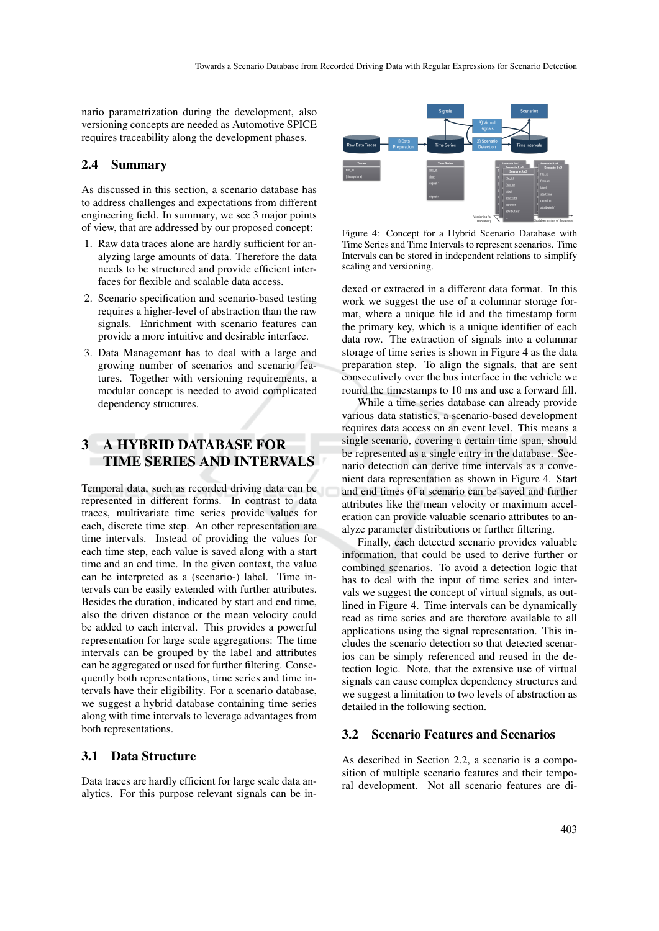nario parametrization during the development, also versioning concepts are needed as Automotive SPICE requires traceability along the development phases.

#### 2.4 Summary

As discussed in this section, a scenario database has to address challenges and expectations from different engineering field. In summary, we see 3 major points of view, that are addressed by our proposed concept:

- 1. Raw data traces alone are hardly sufficient for analyzing large amounts of data. Therefore the data needs to be structured and provide efficient interfaces for flexible and scalable data access.
- 2. Scenario specification and scenario-based testing requires a higher-level of abstraction than the raw signals. Enrichment with scenario features can provide a more intuitive and desirable interface.
- 3. Data Management has to deal with a large and growing number of scenarios and scenario features. Together with versioning requirements, a modular concept is needed to avoid complicated dependency structures.

# 3 A HYBRID DATABASE FOR TIME SERIES AND INTERVALS

Temporal data, such as recorded driving data can be represented in different forms. In contrast to data traces, multivariate time series provide values for each, discrete time step. An other representation are time intervals. Instead of providing the values for each time step, each value is saved along with a start time and an end time. In the given context, the value can be interpreted as a (scenario-) label. Time intervals can be easily extended with further attributes. Besides the duration, indicated by start and end time, also the driven distance or the mean velocity could be added to each interval. This provides a powerful representation for large scale aggregations: The time intervals can be grouped by the label and attributes can be aggregated or used for further filtering. Consequently both representations, time series and time intervals have their eligibility. For a scenario database, we suggest a hybrid database containing time series along with time intervals to leverage advantages from both representations.

### 3.1 Data Structure

Data traces are hardly efficient for large scale data analytics. For this purpose relevant signals can be in-



Figure 4: Concept for a Hybrid Scenario Database with Time Series and Time Intervals to represent scenarios. Time Intervals can be stored in independent relations to simplify scaling and versioning.

dexed or extracted in a different data format. In this work we suggest the use of a columnar storage format, where a unique file id and the timestamp form the primary key, which is a unique identifier of each data row. The extraction of signals into a columnar storage of time series is shown in Figure 4 as the data preparation step. To align the signals, that are sent consecutively over the bus interface in the vehicle we round the timestamps to 10 ms and use a forward fill.

While a time series database can already provide various data statistics, a scenario-based development requires data access on an event level. This means a single scenario, covering a certain time span, should be represented as a single entry in the database. Scenario detection can derive time intervals as a convenient data representation as shown in Figure 4. Start and end times of a scenario can be saved and further attributes like the mean velocity or maximum acceleration can provide valuable scenario attributes to analyze parameter distributions or further filtering.

Finally, each detected scenario provides valuable information, that could be used to derive further or combined scenarios. To avoid a detection logic that has to deal with the input of time series and intervals we suggest the concept of virtual signals, as outlined in Figure 4. Time intervals can be dynamically read as time series and are therefore available to all applications using the signal representation. This includes the scenario detection so that detected scenarios can be simply referenced and reused in the detection logic. Note, that the extensive use of virtual signals can cause complex dependency structures and we suggest a limitation to two levels of abstraction as detailed in the following section.

#### 3.2 Scenario Features and Scenarios

As described in Section 2.2, a scenario is a composition of multiple scenario features and their temporal development. Not all scenario features are di-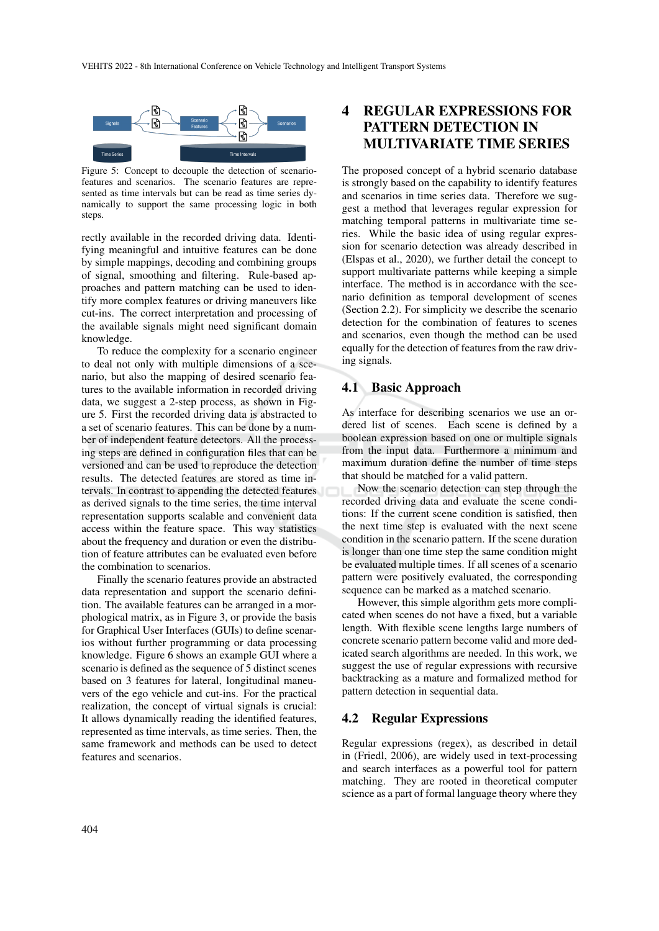

Figure 5: Concept to decouple the detection of scenariofeatures and scenarios. The scenario features are represented as time intervals but can be read as time series dynamically to support the same processing logic in both steps.

rectly available in the recorded driving data. Identifying meaningful and intuitive features can be done by simple mappings, decoding and combining groups of signal, smoothing and filtering. Rule-based approaches and pattern matching can be used to identify more complex features or driving maneuvers like cut-ins. The correct interpretation and processing of the available signals might need significant domain knowledge.

To reduce the complexity for a scenario engineer to deal not only with multiple dimensions of a scenario, but also the mapping of desired scenario features to the available information in recorded driving data, we suggest a 2-step process, as shown in Figure 5. First the recorded driving data is abstracted to a set of scenario features. This can be done by a number of independent feature detectors. All the processing steps are defined in configuration files that can be versioned and can be used to reproduce the detection results. The detected features are stored as time intervals. In contrast to appending the detected features as derived signals to the time series, the time interval representation supports scalable and convenient data access within the feature space. This way statistics about the frequency and duration or even the distribution of feature attributes can be evaluated even before the combination to scenarios.

Finally the scenario features provide an abstracted data representation and support the scenario definition. The available features can be arranged in a morphological matrix, as in Figure 3, or provide the basis for Graphical User Interfaces (GUIs) to define scenarios without further programming or data processing knowledge. Figure 6 shows an example GUI where a scenario is defined as the sequence of 5 distinct scenes based on 3 features for lateral, longitudinal maneuvers of the ego vehicle and cut-ins. For the practical realization, the concept of virtual signals is crucial: It allows dynamically reading the identified features, represented as time intervals, as time series. Then, the same framework and methods can be used to detect features and scenarios.

# 4 REGULAR EXPRESSIONS FOR PATTERN DETECTION IN MULTIVARIATE TIME SERIES

The proposed concept of a hybrid scenario database is strongly based on the capability to identify features and scenarios in time series data. Therefore we suggest a method that leverages regular expression for matching temporal patterns in multivariate time series. While the basic idea of using regular expression for scenario detection was already described in (Elspas et al., 2020), we further detail the concept to support multivariate patterns while keeping a simple interface. The method is in accordance with the scenario definition as temporal development of scenes (Section 2.2). For simplicity we describe the scenario detection for the combination of features to scenes and scenarios, even though the method can be used equally for the detection of features from the raw driving signals.

### 4.1 Basic Approach

As interface for describing scenarios we use an ordered list of scenes. Each scene is defined by a boolean expression based on one or multiple signals from the input data. Furthermore a minimum and maximum duration define the number of time steps that should be matched for a valid pattern.

Now the scenario detection can step through the recorded driving data and evaluate the scene conditions: If the current scene condition is satisfied, then the next time step is evaluated with the next scene condition in the scenario pattern. If the scene duration is longer than one time step the same condition might be evaluated multiple times. If all scenes of a scenario pattern were positively evaluated, the corresponding sequence can be marked as a matched scenario.

However, this simple algorithm gets more complicated when scenes do not have a fixed, but a variable length. With flexible scene lengths large numbers of concrete scenario pattern become valid and more dedicated search algorithms are needed. In this work, we suggest the use of regular expressions with recursive backtracking as a mature and formalized method for pattern detection in sequential data.

### 4.2 Regular Expressions

Regular expressions (regex), as described in detail in (Friedl, 2006), are widely used in text-processing and search interfaces as a powerful tool for pattern matching. They are rooted in theoretical computer science as a part of formal language theory where they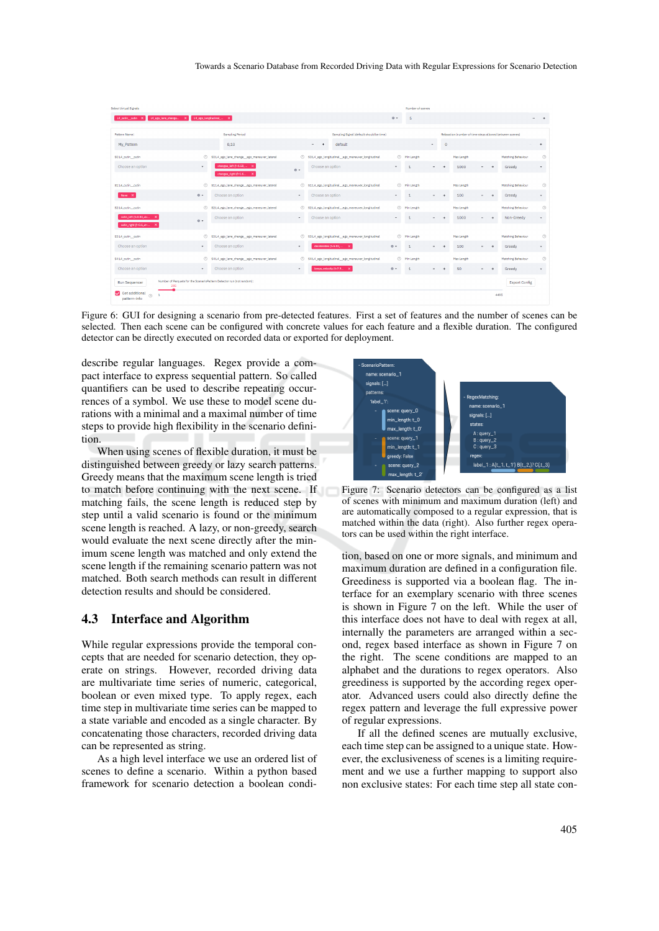| Select Virtual Signals                                       |                                                                       |                                                     | Number of scenes                                      |                                                          |                                  |
|--------------------------------------------------------------|-----------------------------------------------------------------------|-----------------------------------------------------|-------------------------------------------------------|----------------------------------------------------------|----------------------------------|
| L4_cutin_cutin X L4_ego_lane_change X L4_ego_longitudinal_ X |                                                                       |                                                     | $\circ$ -<br>5                                        |                                                          | $ +$                             |
| <b>Pattern Name:</b>                                         | <b>Sampling Period</b>                                                | Sampling Signal (default should be time)            |                                                       | Relaxation (number of time steps allowed between scenes) |                                  |
| My Pattern                                                   | 0.10                                                                  | default<br>$\sim$                                   | $\checkmark$                                          | $\bullet$                                                | $\ddot{}$                        |
| SO:L4 cutin cutin                                            | $^{\circ}$<br>SO:L4_ego_lane_change_ego_maneuver_lateral              | 2 S0:L4_ego_longitudinal_ego_maneuver_longitudinal  | (?) Min Length                                        | Max Length                                               | $^{\circ}$<br>Matching Behaviour |
| Choose an option                                             | changes left (f=1.58,  X<br>$\bullet$                                 | Choose an option<br>$\circ$ .                       | $\tau$<br>$\mathbf{1}$<br>$\overline{\phantom{0}}$    | 1000<br>٠<br>$\rightarrow$                               | Greedy<br>$\mathbf{v}$           |
|                                                              | changes_right (f=1.6                                                  |                                                     |                                                       |                                                          |                                  |
| \$1:14_cutin__cutin                                          | $\circledR$<br>S1:L4_ego_lane_change_ego_maneuver_lateral             | S1:L4_ego_longitudinal_ego_maneuver_longitudinal    | <sup>1</sup> Min Length                               | Max Length                                               | $^{\circ}$<br>Matching Behaviour |
| None X                                                       | 0.7<br>Choose an option                                               | Choose an option<br>۰                               | $\tau$ .<br>$\mathbf{1}$                              | 100                                                      | Greedy<br>٠                      |
| \$2:L4_cutin__cutin                                          | $\circledcirc$<br>\$2:L4_ego_lane_change_ego_maneuver_lateral         | © \$2:L4_ego_longitudinal_ego_maneuver_longitudinal | <b>O</b> Min Length                                   | Max Length                                               | $^{\circ}$<br>Matching Behaviour |
| cutin_left (f=0.84, p= X                                     | Choose an option<br>$\circ$ .                                         | Choose an option<br>$\tau$ .                        | $\mathbf{1}$<br>$\tau$                                | 1000                                                     | Non-Greedy<br>$\mathbf{v}$       |
| cutin_right (f=0.6, e= X                                     |                                                                       |                                                     |                                                       |                                                          |                                  |
| \$3:L4_cutin__cutin                                          | $\circledcirc$<br>S3:L4_ego_lane_change_ego_maneuver_lateral          | S3:L4_ego_longitudinal_ego_maneuver_longitudinal    | <b>O</b> Min Length                                   | Max Length                                               | $^{\circ}$<br>Matching Behaviour |
| Choose an option                                             | Choose an option<br>$\bullet$                                         | decelerates (f=5.82. x<br>۰.                        | $\circ$ -<br>$\mathbf{1}$<br>$\overline{\phantom{a}}$ | 100<br>٠<br>۰                                            | Greedy<br>$\mathbf{v}$           |
| \$4:L4_cutin_cutin                                           | $\circledcirc$<br>S4:L4 ego lane change ego maneuver lateral          | 2 S4:L4 ego longitudinal ego maneuver longitudinal  | $^{\circ}$<br>Min Length                              | Max Length                                               | $^{\circ}$<br>Matching Behaviour |
| Choose an option                                             | Choose an option<br>$\bullet$                                         | keeps velocity (f=7.9 X<br>$\sim$                   | $0 -$<br>$\mathbf{1}$                                 | 50<br>٠<br>۰                                             | Greedy<br>$\mathbf{v}$           |
| <b>Run Sequencer</b><br>285                                  | Number of Parquets for the ScenarioPattern Detector run (not random): |                                                     |                                                       |                                                          | <b>Export Config</b>             |
| Get additional<br>(2)<br>pattern-info                        |                                                                       |                                                     |                                                       | 4496                                                     |                                  |

Figure 6: GUI for designing a scenario from pre-detected features. First a set of features and the number of scenes can be selected. Then each scene can be configured with concrete values for each feature and a flexible duration. The configured detector can be directly executed on recorded data or exported for deployment.

describe regular languages. Regex provide a compact interface to express sequential pattern. So called quantifiers can be used to describe repeating occurrences of a symbol. We use these to model scene durations with a minimal and a maximal number of time steps to provide high flexibility in the scenario definition.

When using scenes of flexible duration, it must be distinguished between greedy or lazy search patterns. Greedy means that the maximum scene length is tried to match before continuing with the next scene. If matching fails, the scene length is reduced step by step until a valid scenario is found or the minimum scene length is reached. A lazy, or non-greedy, search would evaluate the next scene directly after the minimum scene length was matched and only extend the scene length if the remaining scenario pattern was not matched. Both search methods can result in different detection results and should be considered.

#### 4.3 Interface and Algorithm

While regular expressions provide the temporal concepts that are needed for scenario detection, they operate on strings. However, recorded driving data are multivariate time series of numeric, categorical, boolean or even mixed type. To apply regex, each time step in multivariate time series can be mapped to a state variable and encoded as a single character. By concatenating those characters, recorded driving data can be represented as string.

As a high level interface we use an ordered list of scenes to define a scenario. Within a python based framework for scenario detection a boolean condi-



Figure 7: Scenario detectors can be configured as a list of scenes with minimum and maximum duration (left) and are automatically composed to a regular expression, that is matched within the data (right). Also further regex operators can be used within the right interface.

tion, based on one or more signals, and minimum and maximum duration are defined in a configuration file. Greediness is supported via a boolean flag. The interface for an exemplary scenario with three scenes is shown in Figure 7 on the left. While the user of this interface does not have to deal with regex at all, internally the parameters are arranged within a second, regex based interface as shown in Figure 7 on the right. The scene conditions are mapped to an alphabet and the durations to regex operators. Also greediness is supported by the according regex operator. Advanced users could also directly define the regex pattern and leverage the full expressive power of regular expressions.

If all the defined scenes are mutually exclusive, each time step can be assigned to a unique state. However, the exclusiveness of scenes is a limiting requirement and we use a further mapping to support also non exclusive states: For each time step all state con-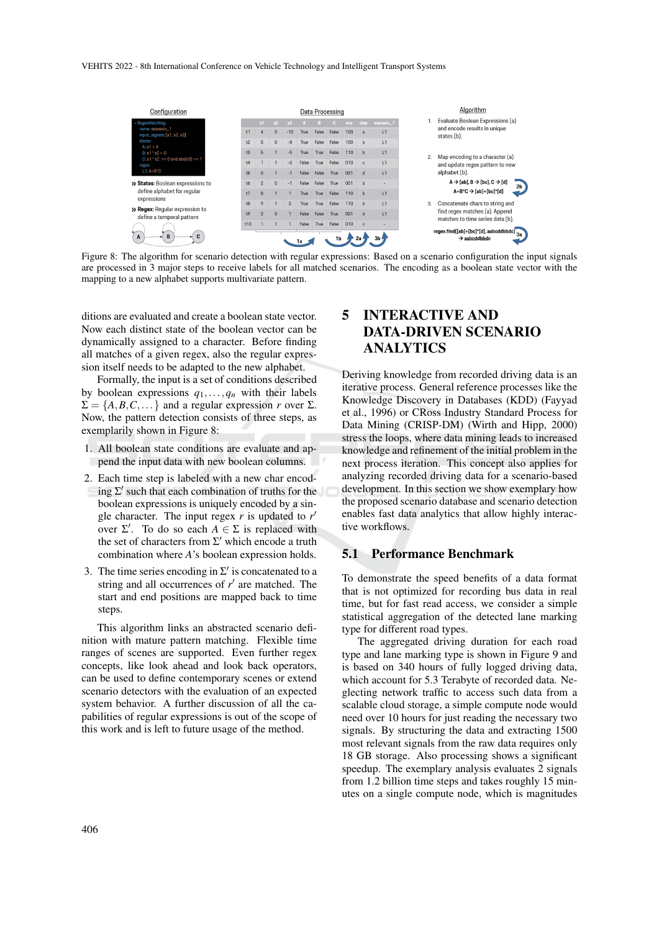

Figure 8: The algorithm for scenario detection with regular expressions: Based on a scenario configuration the input signals are processed in 3 major steps to receive labels for all matched scenarios. The encoding as a boolean state vector with the mapping to a new alphabet supports multivariate pattern.

ditions are evaluated and create a boolean state vector. Now each distinct state of the boolean vector can be dynamically assigned to a character. Before finding all matches of a given regex, also the regular expression itself needs to be adapted to the new alphabet.

Formally, the input is a set of conditions described by boolean expressions  $q_1, \ldots, q_n$  with their labels  $\Sigma = \{A, B, C, \dots\}$  and a regular expression *r* over  $\Sigma$ . Now, the pattern detection consists of three steps, as exemplarily shown in Figure 8:

- 1. All boolean state conditions are evaluate and append the input data with new boolean columns.
- 2. Each time step is labeled with a new char encoding  $\Sigma'$  such that each combination of truths for the boolean expressions is uniquely encoded by a single character. The input regex  $r$  is updated to  $r'$ over  $\Sigma'$ . To do so each  $A \in \Sigma$  is replaced with the set of characters from  $\Sigma'$  which encode a truth combination where *A*'s boolean expression holds.
- 3. The time series encoding in  $\Sigma'$  is concatenated to a string and all occurrences of  $r'$  are matched. The start and end positions are mapped back to time steps.

This algorithm links an abstracted scenario definition with mature pattern matching. Flexible time ranges of scenes are supported. Even further regex concepts, like look ahead and look back operators, can be used to define contemporary scenes or extend scenario detectors with the evaluation of an expected system behavior. A further discussion of all the capabilities of regular expressions is out of the scope of this work and is left to future usage of the method.

# 5 INTERACTIVE AND DATA-DRIVEN SCENARIO ANALYTICS

Deriving knowledge from recorded driving data is an iterative process. General reference processes like the Knowledge Discovery in Databases (KDD) (Fayyad et al., 1996) or CRoss Industry Standard Process for Data Mining (CRISP-DM) (Wirth and Hipp, 2000) stress the loops, where data mining leads to increased knowledge and refinement of the initial problem in the next process iteration. This concept also applies for analyzing recorded driving data for a scenario-based development. In this section we show exemplary how the proposed scenario database and scenario detection enables fast data analytics that allow highly interactive workflows.

### 5.1 Performance Benchmark

To demonstrate the speed benefits of a data format that is not optimized for recording bus data in real time, but for fast read access, we consider a simple statistical aggregation of the detected lane marking type for different road types.

The aggregated driving duration for each road type and lane marking type is shown in Figure 9 and is based on 340 hours of fully logged driving data, which account for 5.3 Terabyte of recorded data. Neglecting network traffic to access such data from a scalable cloud storage, a simple compute node would need over 10 hours for just reading the necessary two signals. By structuring the data and extracting 1500 most relevant signals from the raw data requires only 18 GB storage. Also processing shows a significant speedup. The exemplary analysis evaluates 2 signals from 1.2 billion time steps and takes roughly 15 minutes on a single compute node, which is magnitudes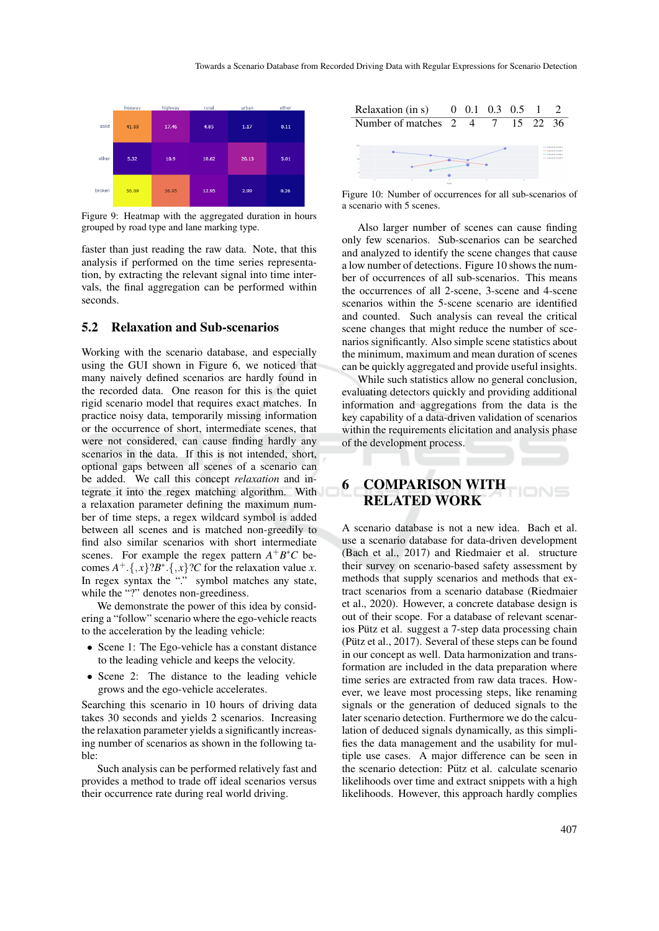

Figure 9: Heatmap with the aggregated duration in hours grouped by road type and lane marking type.

faster than just reading the raw data. Note, that this analysis if performed on the time series representation, by extracting the relevant signal into time intervals, the final aggregation can be performed within seconds.

### 5.2 Relaxation and Sub-scenarios

Working with the scenario database, and especially using the GUI shown in Figure 6, we noticed that many naively defined scenarios are hardly found in the recorded data. One reason for this is the quiet rigid scenario model that requires exact matches. In practice noisy data, temporarily missing information or the occurrence of short, intermediate scenes, that were not considered, can cause finding hardly any scenarios in the data. If this is not intended, short, optional gaps between all scenes of a scenario can be added. We call this concept *relaxation* and integrate it into the regex matching algorithm. With a relaxation parameter defining the maximum number of time steps, a regex wildcard symbol is added between all scenes and is matched non-greedily to find also similar scenarios with short intermediate scenes. For example the regex pattern  $A^{+}B^{*}C$  becomes  $A^+$ .{, *x*}?*B*<sup>\*</sup>.{, *x*}?*C* for the relaxation value *x*. In regex syntax the "." symbol matches any state, while the "?" denotes non-greediness.

We demonstrate the power of this idea by considering a "follow" scenario where the ego-vehicle reacts to the acceleration by the leading vehicle:

- Scene 1: The Ego-vehicle has a constant distance to the leading vehicle and keeps the velocity.
- Scene 2: The distance to the leading vehicle grows and the ego-vehicle accelerates.

Searching this scenario in 10 hours of driving data takes 30 seconds and yields 2 scenarios. Increasing the relaxation parameter yields a significantly increasing number of scenarios as shown in the following table:

Such analysis can be performed relatively fast and provides a method to trade off ideal scenarios versus their occurrence rate during real world driving.



Figure 10: Number of occurrences for all sub-scenarios of a scenario with 5 scenes.

Also larger number of scenes can cause finding only few scenarios. Sub-scenarios can be searched and analyzed to identify the scene changes that cause a low number of detections. Figure 10 shows the number of occurrences of all sub-scenarios. This means the occurrences of all 2-scene, 3-scene and 4-scene scenarios within the 5-scene scenario are identified and counted. Such analysis can reveal the critical scene changes that might reduce the number of scenarios significantly. Also simple scene statistics about the minimum, maximum and mean duration of scenes can be quickly aggregated and provide useful insights.

While such statistics allow no general conclusion, evaluating detectors quickly and providing additional information and aggregations from the data is the key capability of a data-driven validation of scenarios within the requirements elicitation and analysis phase of the development process.

# 6 COMPARISON WITH RELATED WORK

A scenario database is not a new idea. Bach et al. use a scenario database for data-driven development (Bach et al., 2017) and Riedmaier et al. structure their survey on scenario-based safety assessment by methods that supply scenarios and methods that extract scenarios from a scenario database (Riedmaier et al., 2020). However, a concrete database design is out of their scope. For a database of relevant scenarios Pütz et al. suggest a 7-step data processing chain (Pütz et al.,  $2017$ ). Several of these steps can be found in our concept as well. Data harmonization and transformation are included in the data preparation where time series are extracted from raw data traces. However, we leave most processing steps, like renaming signals or the generation of deduced signals to the later scenario detection. Furthermore we do the calculation of deduced signals dynamically, as this simplifies the data management and the usability for multiple use cases. A major difference can be seen in the scenario detection: Pütz et al. calculate scenario likelihoods over time and extract snippets with a high likelihoods. However, this approach hardly complies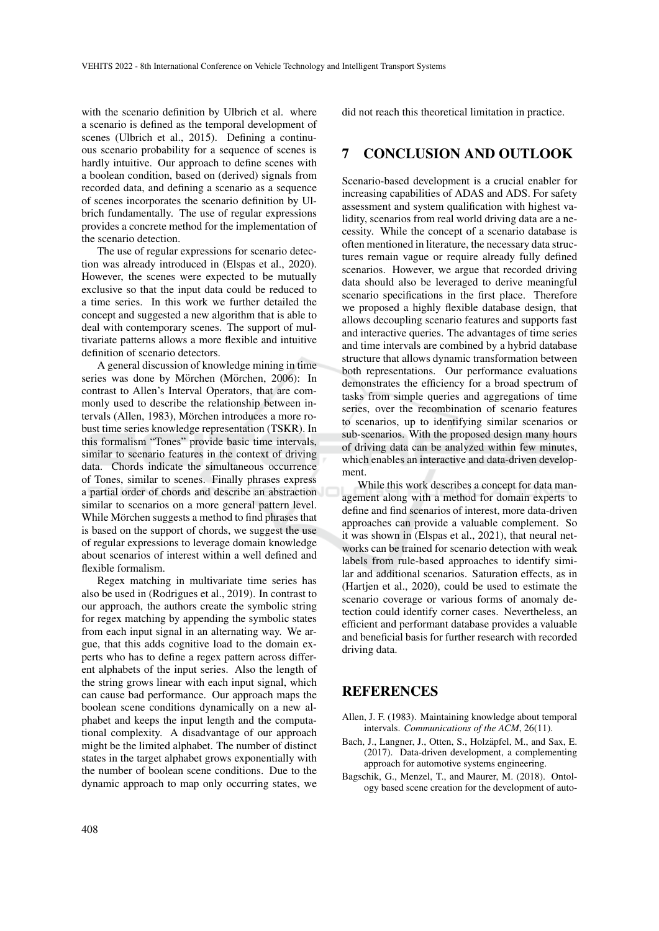with the scenario definition by Ulbrich et al. where a scenario is defined as the temporal development of scenes (Ulbrich et al., 2015). Defining a continuous scenario probability for a sequence of scenes is hardly intuitive. Our approach to define scenes with a boolean condition, based on (derived) signals from recorded data, and defining a scenario as a sequence of scenes incorporates the scenario definition by Ulbrich fundamentally. The use of regular expressions provides a concrete method for the implementation of the scenario detection.

The use of regular expressions for scenario detection was already introduced in (Elspas et al., 2020). However, the scenes were expected to be mutually exclusive so that the input data could be reduced to a time series. In this work we further detailed the concept and suggested a new algorithm that is able to deal with contemporary scenes. The support of multivariate patterns allows a more flexible and intuitive definition of scenario detectors.

A general discussion of knowledge mining in time series was done by Mörchen (Mörchen, 2006): In contrast to Allen's Interval Operators, that are commonly used to describe the relationship between intervals (Allen, 1983), Mörchen introduces a more robust time series knowledge representation (TSKR). In this formalism "Tones" provide basic time intervals, similar to scenario features in the context of driving data. Chords indicate the simultaneous occurrence of Tones, similar to scenes. Finally phrases express a partial order of chords and describe an abstraction similar to scenarios on a more general pattern level. While Mörchen suggests a method to find phrases that is based on the support of chords, we suggest the use of regular expressions to leverage domain knowledge about scenarios of interest within a well defined and flexible formalism.

Regex matching in multivariate time series has also be used in (Rodrigues et al., 2019). In contrast to our approach, the authors create the symbolic string for regex matching by appending the symbolic states from each input signal in an alternating way. We argue, that this adds cognitive load to the domain experts who has to define a regex pattern across different alphabets of the input series. Also the length of the string grows linear with each input signal, which can cause bad performance. Our approach maps the boolean scene conditions dynamically on a new alphabet and keeps the input length and the computational complexity. A disadvantage of our approach might be the limited alphabet. The number of distinct states in the target alphabet grows exponentially with the number of boolean scene conditions. Due to the dynamic approach to map only occurring states, we did not reach this theoretical limitation in practice.

### 7 CONCLUSION AND OUTLOOK

Scenario-based development is a crucial enabler for increasing capabilities of ADAS and ADS. For safety assessment and system qualification with highest validity, scenarios from real world driving data are a necessity. While the concept of a scenario database is often mentioned in literature, the necessary data structures remain vague or require already fully defined scenarios. However, we argue that recorded driving data should also be leveraged to derive meaningful scenario specifications in the first place. Therefore we proposed a highly flexible database design, that allows decoupling scenario features and supports fast and interactive queries. The advantages of time series and time intervals are combined by a hybrid database structure that allows dynamic transformation between both representations. Our performance evaluations demonstrates the efficiency for a broad spectrum of tasks from simple queries and aggregations of time series, over the recombination of scenario features to scenarios, up to identifying similar scenarios or sub-scenarios. With the proposed design many hours of driving data can be analyzed within few minutes, which enables an interactive and data-driven development.

While this work describes a concept for data management along with a method for domain experts to define and find scenarios of interest, more data-driven approaches can provide a valuable complement. So it was shown in (Elspas et al., 2021), that neural networks can be trained for scenario detection with weak labels from rule-based approaches to identify similar and additional scenarios. Saturation effects, as in (Hartjen et al., 2020), could be used to estimate the scenario coverage or various forms of anomaly detection could identify corner cases. Nevertheless, an efficient and performant database provides a valuable and beneficial basis for further research with recorded driving data.

### REFERENCES

- Allen, J. F. (1983). Maintaining knowledge about temporal intervals. *Communications of the ACM*, 26(11).
- Bach, J., Langner, J., Otten, S., Holzäpfel, M., and Sax, E. (2017). Data-driven development, a complementing approach for automotive systems engineering.
- Bagschik, G., Menzel, T., and Maurer, M. (2018). Ontology based scene creation for the development of auto-